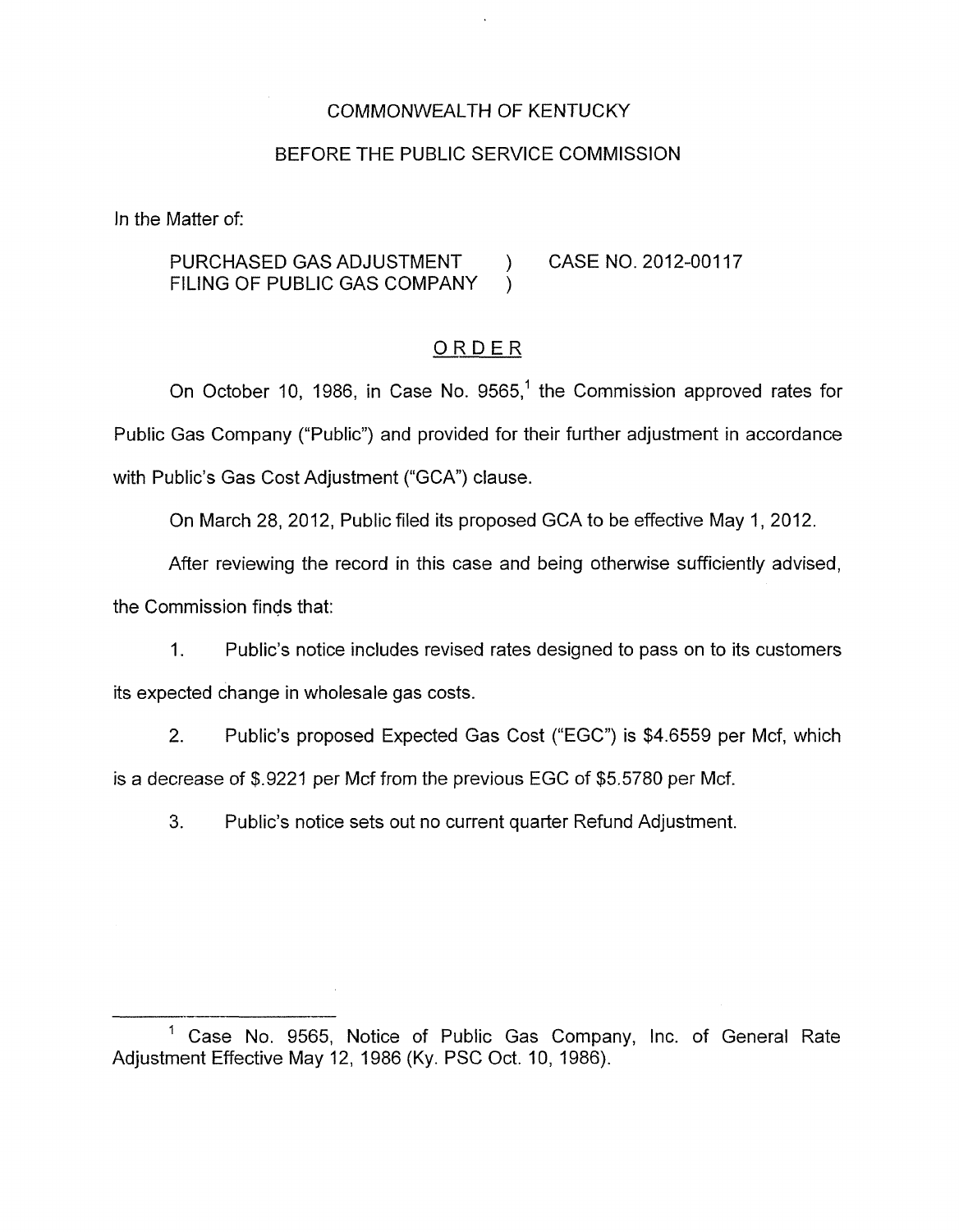### COMMONWEALTH OF KENTUCKY

### BEFORE THE PUBLIC SERVICE COMMISSION

In the Matter of:

PURCHASED GAS ADJUSTMENT ) CASE NO. 2012-00117 FILING OF PUBLIC GAS COMPANY )

## ORDER

On October 10, 1986, in Case No. 9565,<sup>1</sup> the Commission approved rates for Public Gas Company ("Public") and provided for their further adjustment in accordance with Public's Gas Cost Adjustment ("GCA") clause.

On March 28, 2012, Public filed its proposed GCA to be effective May 1, 2012.

After reviewing the record in this case and being otherwise sufficiently advised, the Commission finds that:

1. Public's notice includes revised rates designed to pass on to its customers its expected change in wholesale gas costs.

2. Public's proposed Expected Gas Cost ("EGC") is \$4.6559 per Mcf, which is a decrease of \$.9221 per Mcf from the previous EGC of \$5.5780 per Mcf.

**3.** Public's notice sets out no current quarter Refund Adjustment.

<sup>-&</sup>lt;br>-<br>- $1$  Case No. 9565, Notice of Public Gas Company, Inc. of General Rate Adjustment Effective May 12, 1986 (Ky. PSC Oct. IO, 1986).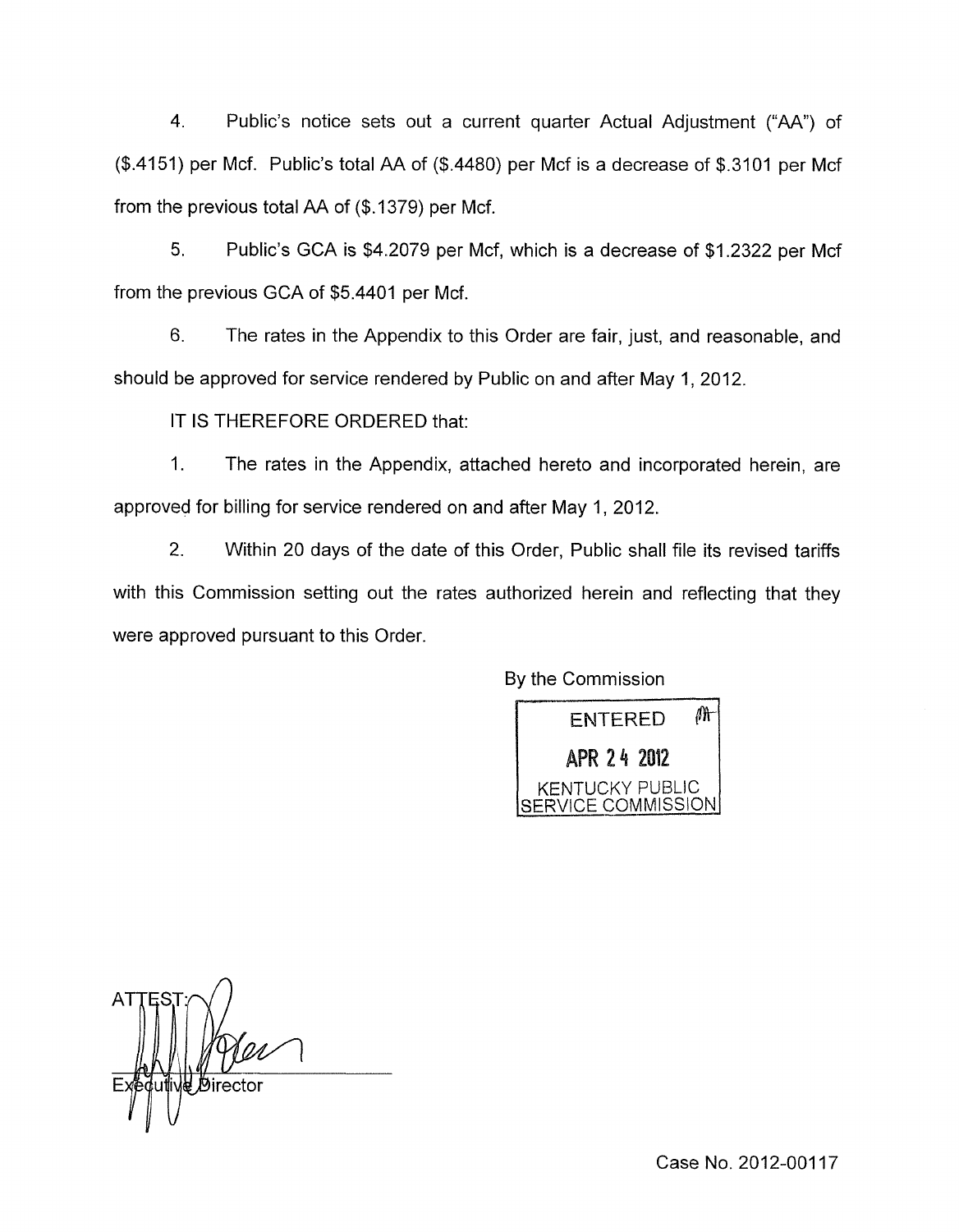4. Public's notice sets out a current quarter Actual Adjustment ("AA") of (\$.4151) per Mcf. Public's total AA of (\$.4480) per Mcf is a decrease of \$.3101 per Mcf from the previous total AA of (\$. 1379) per Mcf.

*5.* Public's GCA is \$4.2079 per Mcf, which is a decrease of \$1.2322 per Mcf from the previous GCA of \$5.4401 per Mcf.

6. The rates in the Appendix to this Order are fair, just, and reasonable, and should be approved for service rendered by Public on and after May 1,2012.

IT **IS** THEREFORE ORDERED that:

1. The rates in the Appendix, attached hereto and incorporated herein, are approved for billing for service rendered on and after May 1,2012.

2. Within 20 days of the date of this Order, Public shall file its revised tariffs with this Commission setting out the rates authorized herein and reflecting that they were approved pursuant to this Order.

By the Commission

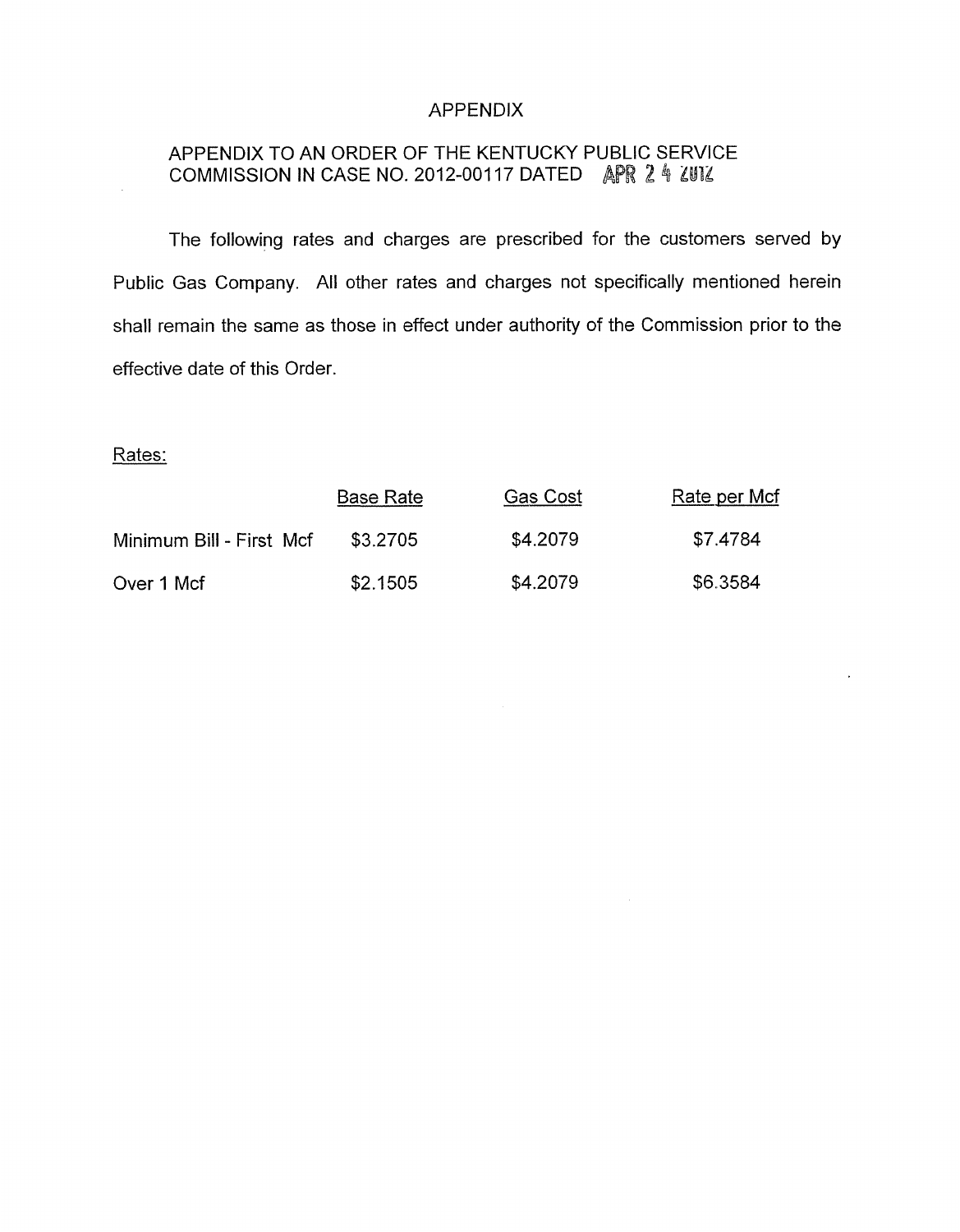### APPENDIX

# APPENDIX TO AN ORDER OF THE KENTUCKY PUBLIC SERVICE COMMISSION IN CASE NO. 2012-00117 DATED APR 2 4 2U12

The following rates and charges are prescribed for the customers served by Public Gas Company. All other rates and charges not specifically mentioned herein shall remain the same as those in effect under authority of the Commission prior to the effective date of this Order.

Rates:

|                          | <b>Base Rate</b> | Gas Cost | Rate per Mcf |
|--------------------------|------------------|----------|--------------|
| Minimum Bill - First Mcf | \$3,2705         | \$4,2079 | \$7.4784     |
| Over 1 Mcf               | \$2.1505         | \$4.2079 | \$6.3584     |